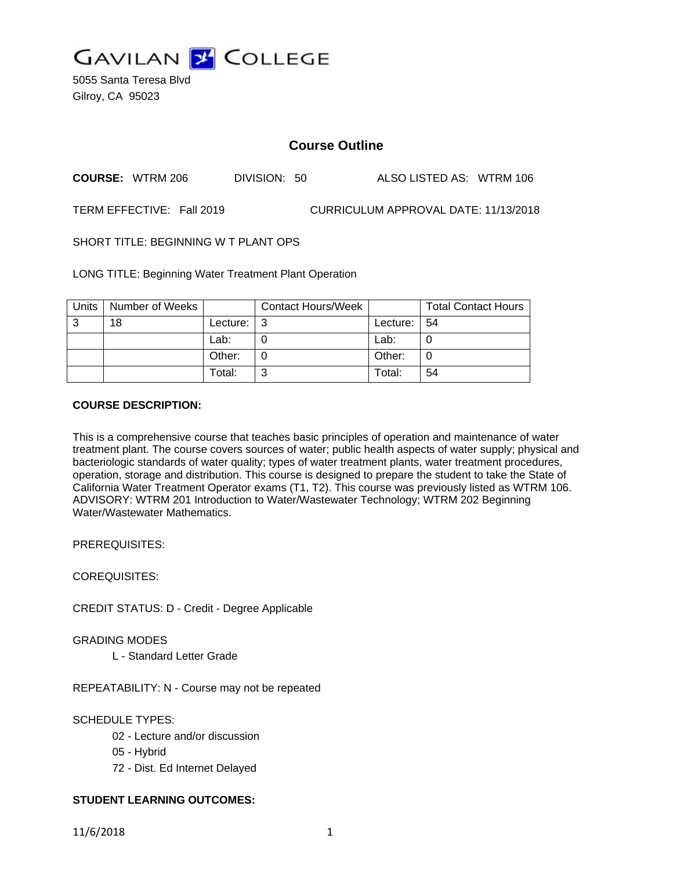

5055 Santa Teresa Blvd Gilroy, CA 95023

# **Course Outline**

**COURSE:** WTRM 206 DIVISION: 50 ALSO LISTED AS: WTRM 106

TERM EFFECTIVE: Fall 2019 CURRICULUM APPROVAL DATE: 11/13/2018

SHORT TITLE: BEGINNING W T PLANT OPS

LONG TITLE: Beginning Water Treatment Plant Operation

| Units | Number of Weeks |          | <b>Contact Hours/Week</b> |          | <b>Total Contact Hours</b> |
|-------|-----------------|----------|---------------------------|----------|----------------------------|
| 3     | 18              | Lecture: | -3                        | Lecture: | 54                         |
|       |                 | Lab:     |                           | Lab:     | U                          |
|       |                 | Other:   |                           | Other:   | C                          |
|       |                 | Total:   | າ                         | Total:   | 54                         |

# **COURSE DESCRIPTION:**

This is a comprehensive course that teaches basic principles of operation and maintenance of water treatment plant. The course covers sources of water; public health aspects of water supply; physical and bacteriologic standards of water quality; types of water treatment plants, water treatment procedures, operation, storage and distribution. This course is designed to prepare the student to take the State of California Water Treatment Operator exams (T1, T2). This course was previously listed as WTRM 106. ADVISORY: WTRM 201 Introduction to Water/Wastewater Technology; WTRM 202 Beginning Water/Wastewater Mathematics.

PREREQUISITES:

COREQUISITES:

CREDIT STATUS: D - Credit - Degree Applicable

GRADING MODES

L - Standard Letter Grade

REPEATABILITY: N - Course may not be repeated

# SCHEDULE TYPES:

- 02 Lecture and/or discussion
- 05 Hybrid
- 72 Dist. Ed Internet Delayed

# **STUDENT LEARNING OUTCOMES:**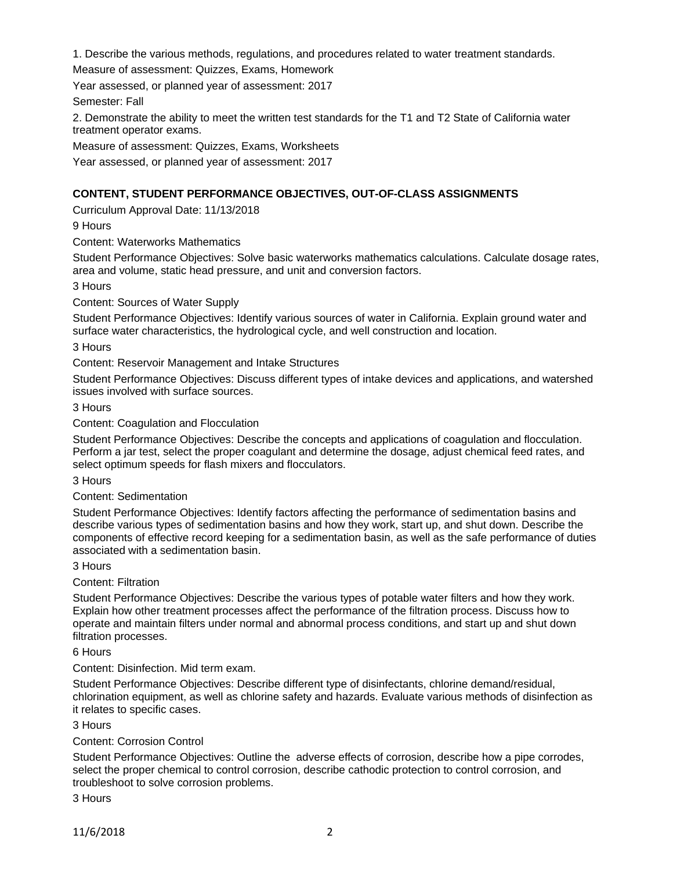1. Describe the various methods, regulations, and procedures related to water treatment standards.

Measure of assessment: Quizzes, Exams, Homework

Year assessed, or planned year of assessment: 2017

Semester: Fall

2. Demonstrate the ability to meet the written test standards for the T1 and T2 State of California water treatment operator exams.

Measure of assessment: Quizzes, Exams, Worksheets

Year assessed, or planned year of assessment: 2017

# **CONTENT, STUDENT PERFORMANCE OBJECTIVES, OUT-OF-CLASS ASSIGNMENTS**

Curriculum Approval Date: 11/13/2018

9 Hours

Content: Waterworks Mathematics

Student Performance Objectives: Solve basic waterworks mathematics calculations. Calculate dosage rates, area and volume, static head pressure, and unit and conversion factors.

3 Hours

Content: Sources of Water Supply

Student Performance Objectives: Identify various sources of water in California. Explain ground water and surface water characteristics, the hydrological cycle, and well construction and location.

3 Hours

Content: Reservoir Management and Intake Structures

Student Performance Objectives: Discuss different types of intake devices and applications, and watershed issues involved with surface sources.

3 Hours

Content: Coagulation and Flocculation

Student Performance Objectives: Describe the concepts and applications of coagulation and flocculation. Perform a jar test, select the proper coagulant and determine the dosage, adjust chemical feed rates, and select optimum speeds for flash mixers and flocculators.

3 Hours

Content: Sedimentation

Student Performance Objectives: Identify factors affecting the performance of sedimentation basins and describe various types of sedimentation basins and how they work, start up, and shut down. Describe the components of effective record keeping for a sedimentation basin, as well as the safe performance of duties associated with a sedimentation basin.

3 Hours

Content: Filtration

Student Performance Objectives: Describe the various types of potable water filters and how they work. Explain how other treatment processes affect the performance of the filtration process. Discuss how to operate and maintain filters under normal and abnormal process conditions, and start up and shut down filtration processes.

6 Hours

Content: Disinfection. Mid term exam.

Student Performance Objectives: Describe different type of disinfectants, chlorine demand/residual, chlorination equipment, as well as chlorine safety and hazards. Evaluate various methods of disinfection as it relates to specific cases.

3 Hours

#### Content: Corrosion Control

Student Performance Objectives: Outline the adverse effects of corrosion, describe how a pipe corrodes, select the proper chemical to control corrosion, describe cathodic protection to control corrosion, and troubleshoot to solve corrosion problems.

3 Hours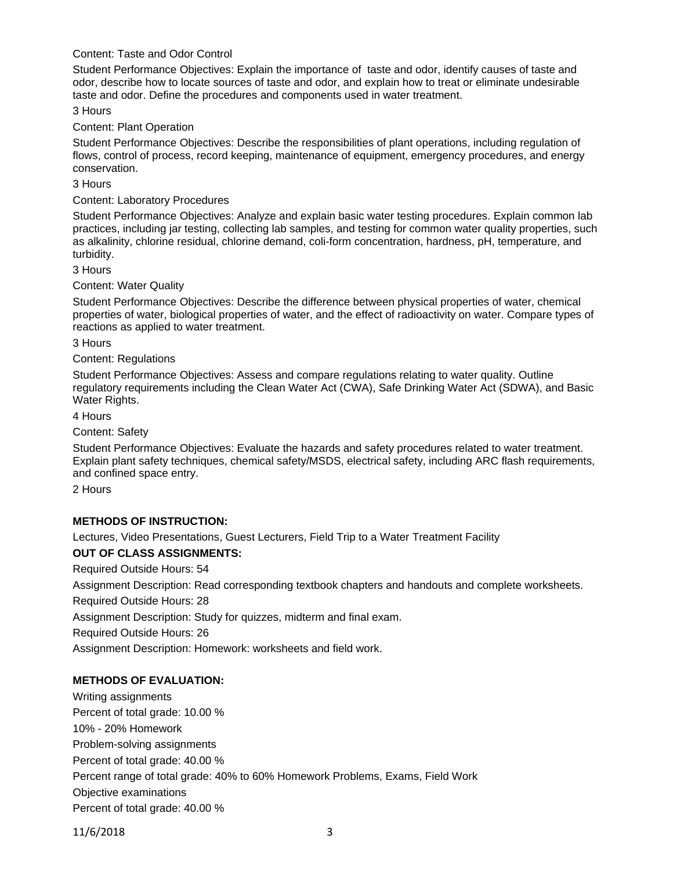# Content: Taste and Odor Control

Student Performance Objectives: Explain the importance of taste and odor, identify causes of taste and odor, describe how to locate sources of taste and odor, and explain how to treat or eliminate undesirable taste and odor. Define the procedures and components used in water treatment.

3 Hours

#### Content: Plant Operation

Student Performance Objectives: Describe the responsibilities of plant operations, including regulation of flows, control of process, record keeping, maintenance of equipment, emergency procedures, and energy conservation.

3 Hours

Content: Laboratory Procedures

Student Performance Objectives: Analyze and explain basic water testing procedures. Explain common lab practices, including jar testing, collecting lab samples, and testing for common water quality properties, such as alkalinity, chlorine residual, chlorine demand, coli-form concentration, hardness, pH, temperature, and turbidity.

3 Hours

Content: Water Quality

Student Performance Objectives: Describe the difference between physical properties of water, chemical properties of water, biological properties of water, and the effect of radioactivity on water. Compare types of reactions as applied to water treatment.

3 Hours

Content: Regulations

Student Performance Objectives: Assess and compare regulations relating to water quality. Outline regulatory requirements including the Clean Water Act (CWA), Safe Drinking Water Act (SDWA), and Basic Water Rights.

4 Hours

Content: Safety

Student Performance Objectives: Evaluate the hazards and safety procedures related to water treatment. Explain plant safety techniques, chemical safety/MSDS, electrical safety, including ARC flash requirements, and confined space entry.

2 Hours

### **METHODS OF INSTRUCTION:**

Lectures, Video Presentations, Guest Lecturers, Field Trip to a Water Treatment Facility

#### **OUT OF CLASS ASSIGNMENTS:**

Required Outside Hours: 54

Assignment Description: Read corresponding textbook chapters and handouts and complete worksheets.

Required Outside Hours: 28

Assignment Description: Study for quizzes, midterm and final exam.

Required Outside Hours: 26

Assignment Description: Homework: worksheets and field work.

# **METHODS OF EVALUATION:**

Writing assignments Percent of total grade: 10.00 % 10% - 20% Homework Problem-solving assignments Percent of total grade: 40.00 % Percent range of total grade: 40% to 60% Homework Problems, Exams, Field Work Objective examinations Percent of total grade: 40.00 %

11/6/2018 3